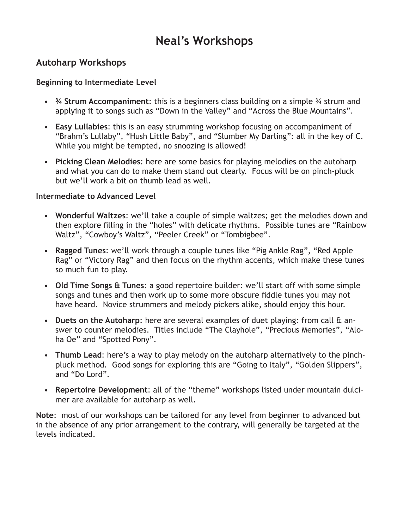# **Neal's Workshops**

## **Autoharp Workshops**

### **Beginning to Intermediate Level**

- • **¾ Strum Accompaniment**: this is a beginners class building on a simple ¾ strum and applying it to songs such as "Down in the Valley" and "Across the Blue Mountains".
- • **Easy Lullabies**: this is an easy strumming workshop focusing on accompaniment of "Brahm's Lullaby", "Hush Little Baby", and "Slumber My Darling": all in the key of C. While you might be tempted, no snoozing is allowed!
- Picking Clean Melodies: here are some basics for playing melodies on the autoharp and what you can do to make them stand out clearly. Focus will be on pinch-pluck but we'll work a bit on thumb lead as well.

#### **Intermediate to Advanced Level**

- • **Wonderful Waltzes**: we'll take a couple of simple waltzes; get the melodies down and then explore filling in the "holes" with delicate rhythms. Possible tunes are "Rainbow Waltz", "Cowboy's Waltz", "Peeler Creek" or "Tombigbee".
- • **Ragged Tunes**: we'll work through a couple tunes like "Pig Ankle Rag", "Red Apple Rag" or "Victory Rag" and then focus on the rhythm accents, which make these tunes so much fun to play.
- • **Old Time Songs & Tunes**: a good repertoire builder: we'll start off with some simple songs and tunes and then work up to some more obscure fiddle tunes you may not have heard. Novice strummers and melody pickers alike, should enjoy this hour.
- **Duets on the Autoharp**: here are several examples of duet playing: from call & answer to counter melodies. Titles include "The Clayhole", "Precious Memories", "Aloha Oe" and "Spotted Pony".
- **Thumb Lead**: here's a way to play melody on the autoharp alternatively to the pinchpluck method. Good songs for exploring this are "Going to Italy", "Golden Slippers", and "Do Lord".
- • **Repertoire Development**: all of the "theme" workshops listed under mountain dulcimer are available for autoharp as well.

**Note**: most of our workshops can be tailored for any level from beginner to advanced but in the absence of any prior arrangement to the contrary, will generally be targeted at the levels indicated.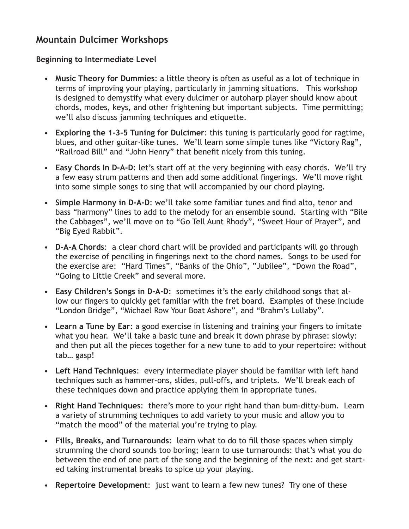# **Mountain Dulcimer Workshops**

#### **Beginning to Intermediate Level**

- • **Music Theory for Dummies**: a little theory is often as useful as a lot of technique in terms of improving your playing, particularly in jamming situations. This workshop is designed to demystify what every dulcimer or autoharp player should know about chords, modes, keys, and other frightening but important subjects. Time permitting; we'll also discuss jamming techniques and etiquette.
- • **Exploring the 1-3-5 Tuning for Dulcimer**: this tuning is particularly good for ragtime, blues, and other guitar-like tunes. We'll learn some simple tunes like "Victory Rag", "Railroad Bill" and "John Henry" that benefit nicely from this tuning.
- Easy Chords In D-A-D: let's start off at the very beginning with easy chords. We'll try a few easy strum patterns and then add some additional fingerings. We'll move right into some simple songs to sing that will accompanied by our chord playing.
- Simple Harmony in D-A-D: we'll take some familiar tunes and find alto, tenor and bass "harmony" lines to add to the melody for an ensemble sound. Starting with "Bile the Cabbages", we'll move on to "Go Tell Aunt Rhody", "Sweet Hour of Prayer", and "Big Eyed Rabbit".
- **D-A-A Chords:** a clear chord chart will be provided and participants will go through the exercise of penciling in fingerings next to the chord names. Songs to be used for the exercise are: "Hard Times", "Banks of the Ohio", "Jubilee", "Down the Road", "Going to Little Creek" and several more.
- **Easy Children's Songs in D-A-D:** sometimes it's the early childhood songs that allow our fingers to quickly get familiar with the fret board. Examples of these include "London Bridge", "Michael Row Your Boat Ashore", and "Brahm's Lullaby".
- Learn a Tune by Ear: a good exercise in listening and training your fingers to imitate what you hear. We'll take a basic tune and break it down phrase by phrase: slowly: and then put all the pieces together for a new tune to add to your repertoire: without tab… gasp!
- • **Left Hand Techniques**: every intermediate player should be familiar with left hand techniques such as hammer-ons, slides, pull-offs, and triplets. We'll break each of these techniques down and practice applying them in appropriate tunes.
- • **Right Hand Techniques**: there's more to your right hand than bum-ditty-bum. Learn a variety of strumming techniques to add variety to your music and allow you to "match the mood" of the material you're trying to play.
- • **Fills, Breaks, and Turnarounds**: learn what to do to fill those spaces when simply strumming the chord sounds too boring; learn to use turnarounds: that's what you do between the end of one part of the song and the beginning of the next: and get started taking instrumental breaks to spice up your playing.
- • **Repertoire Development**: just want to learn a few new tunes? Try one of these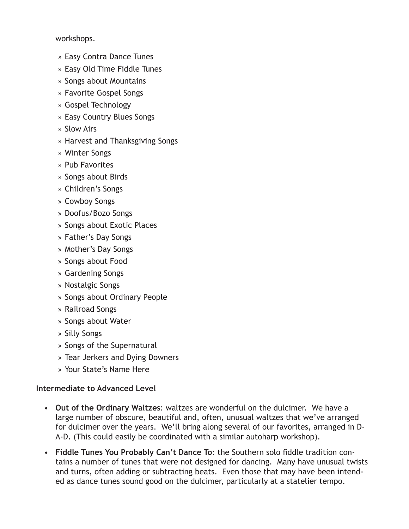workshops.

- » Easy Contra Dance Tunes
- » Easy Old Time Fiddle Tunes
- » Songs about Mountains
- » Favorite Gospel Songs
- » Gospel Technology
- » Easy Country Blues Songs
- » Slow Airs
- » Harvest and Thanksgiving Songs
- » Winter Songs
- » Pub Favorites
- » Songs about Birds
- » Children's Songs
- » Cowboy Songs
- » Doofus/Bozo Songs
- » Songs about Exotic Places
- » Father's Day Songs
- » Mother's Day Songs
- » Songs about Food
- » Gardening Songs
- » Nostalgic Songs
- » Songs about Ordinary People
- » Railroad Songs
- » Songs about Water
- » Silly Songs
- » Songs of the Supernatural
- » Tear Jerkers and Dying Downers
- » Your State's Name Here

### **Intermediate to Advanced Level**

- • **Out of the Ordinary Waltzes**: waltzes are wonderful on the dulcimer. We have a large number of obscure, beautiful and, often, unusual waltzes that we've arranged for dulcimer over the years. We'll bring along several of our favorites, arranged in D-A-D. (This could easily be coordinated with a similar autoharp workshop).
- • **Fiddle Tunes You Probably Can't Dance To**: the Southern solo fiddle tradition contains a number of tunes that were not designed for dancing. Many have unusual twists and turns, often adding or subtracting beats. Even those that may have been intended as dance tunes sound good on the dulcimer, particularly at a statelier tempo.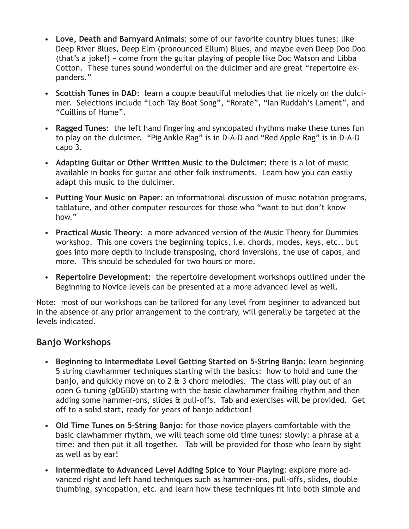- • **Love, Death and Barnyard Animals**: some of our favorite country blues tunes: like Deep River Blues, Deep Elm (pronounced Ellum) Blues, and maybe even Deep Doo Doo (that's a joke!) − come from the guitar playing of people like Doc Watson and Libba Cotton. These tunes sound wonderful on the dulcimer and are great "repertoire expanders."
- • **Scottish Tunes in DAD**: learn a couple beautiful melodies that lie nicely on the dulcimer. Selections include "Loch Tay Boat Song", "Rorate", "Ian Ruddah's Lament", and "Cuillins of Home".
- • **Ragged Tunes**: the left hand fingering and syncopated rhythms make these tunes fun to play on the dulcimer. "Pig Ankle Rag" is in D-A-D and "Red Apple Rag" is in D-A-D capo 3.
- • **Adapting Guitar or Other Written Music to the Dulcimer**: there is a lot of music available in books for guitar and other folk instruments. Learn how you can easily adapt this music to the dulcimer.
- • **Putting Your Music on Paper**: an informational discussion of music notation programs, tablature, and other computer resources for those who "want to but don't know how."
- **Practical Music Theory:** a more advanced version of the Music Theory for Dummies workshop. This one covers the beginning topics, i.e. chords, modes, keys, etc., but goes into more depth to include transposing, chord inversions, the use of capos, and more. This should be scheduled for two hours or more.
- • **Repertoire Development**: the repertoire development workshops outlined under the Beginning to Novice levels can be presented at a more advanced level as well.

Note: most of our workshops can be tailored for any level from beginner to advanced but in the absence of any prior arrangement to the contrary, will generally be targeted at the levels indicated.

# **Banjo Workshops**

- • **Beginning to Intermediate Level Getting Started on 5-String Banjo**: learn beginning 5 string clawhammer techniques starting with the basics: how to hold and tune the banjo, and quickly move on to 2 & 3 chord melodies. The class will play out of an open G tuning (gDGBD) starting with the basic clawhammer frailing rhythm and then adding some hammer-ons, slides & pull-offs. Tab and exercises will be provided. Get off to a solid start, ready for years of banjo addiction!
- • **Old Time Tunes on 5-String Banjo**: for those novice players comfortable with the basic clawhammer rhythm, we will teach some old time tunes: slowly: a phrase at a time: and then put it all together. Tab will be provided for those who learn by sight as well as by ear!
- • **Intermediate to Advanced Level Adding Spice to Your Playing**: explore more advanced right and left hand techniques such as hammer-ons, pull-offs, slides, double thumbing, syncopation, etc. and learn how these techniques fit into both simple and